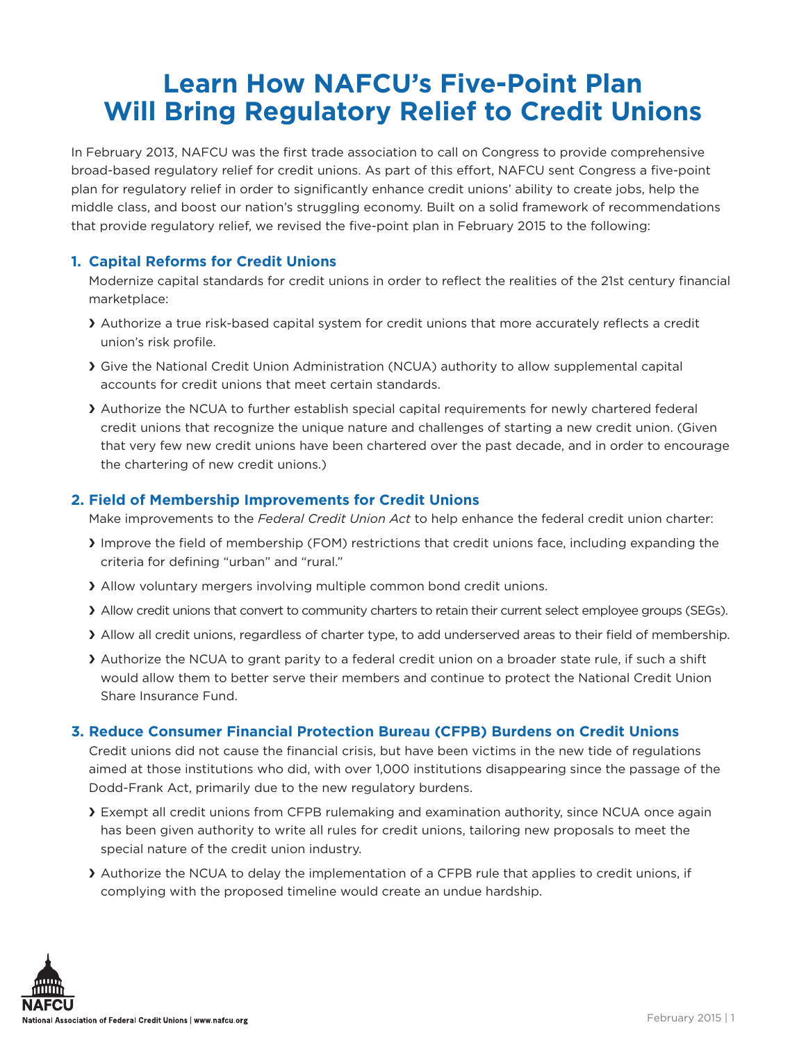# **Learn How NAFCU's Five-Point Plan Will Bring Regulatory Relief to Credit Unions**

In February 2013, NAFCU was the first trade association to call on Congress to provide comprehensive broad-based regulatory relief for credit unions. As part of this effort, NAFCU sent Congress a five-point plan for regulatory relief in order to significantly enhance credit unions' ability to create jobs, help the middle class, and boost our nation's struggling economy. Built on a solid framework of recommendations that provide regulatory relief, we revised the five-point plan in February 2015 to the following:

### **1. Capital Reforms for Credit Unions**

Modernize capital standards for credit unions in order to reflect the realities of the 21st century financial marketplace:

- > Authorize a true risk-based capital system for credit unions that more accurately reflects a credit union's risk profile.
- ❯ Give the National Credit Union Administration (NCUA) authority to allow supplemental capital accounts for credit unions that meet certain standards.
- ❯ Authorize the NCUA to further establish special capital requirements for newly chartered federal credit unions that recognize the unique nature and challenges of starting a new credit union. (Given that very few new credit unions have been chartered over the past decade, and in order to encourage the chartering of new credit unions.)

## **2. Field of Membership Improvements for Credit Unions**

Make improvements to the *Federal Credit Union Act* to help enhance the federal credit union charter:

- ❯ Improve the field of membership (FOM) restrictions that credit unions face, including expanding the criteria for defining "urban" and "rural."
- ❯ Allow voluntary mergers involving multiple common bond credit unions.
- ❯ Allow credit unions that convert to community charters to retain their current select employee groups (SEGs).
- ❯ Allow all credit unions, regardless of charter type, to add underserved areas to their field of membership.
- > Authorize the NCUA to grant parity to a federal credit union on a broader state rule, if such a shift would allow them to better serve their members and continue to protect the National Credit Union Share Insurance Fund.

### **3. Reduce Consumer Financial Protection Bureau (CFPB) Burdens on Credit Unions**

Credit unions did not cause the financial crisis, but have been victims in the new tide of regulations aimed at those institutions who did, with over 1,000 institutions disappearing since the passage of the Dodd-Frank Act, primarily due to the new regulatory burdens.

- **Exempt all credit unions from CFPB rulemaking and examination authority, since NCUA once again** has been given authority to write all rules for credit unions, tailoring new proposals to meet the special nature of the credit union industry.
- ❯ Authorize the NCUA to delay the implementation of a CFPB rule that applies to credit unions, if complying with the proposed timeline would create an undue hardship.